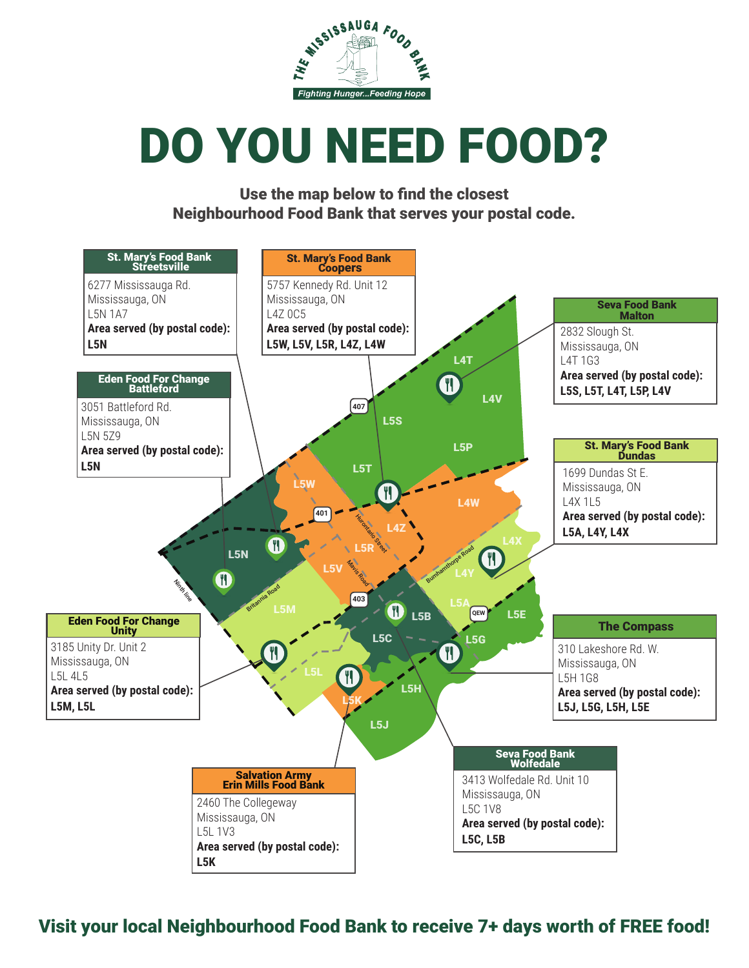

# DO YOU NEED FOOD?

Use the map below to find the closest Neighbourhood Food Bank that serves your postal code.